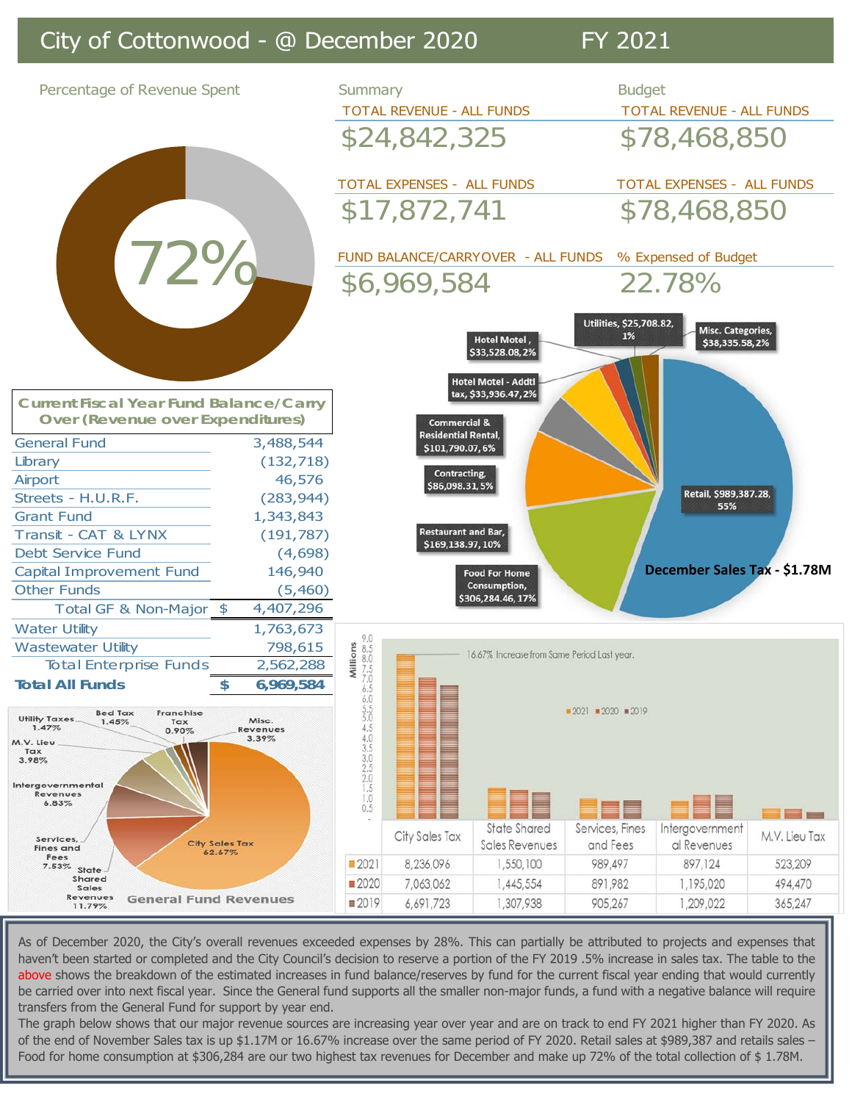## City of Cottonwood - @ December 2020 FY 2021



As of December 2020, the City's overall revenues exceeded expenses by 28%. This can partially be attributed to projects and expenses that haven't been started or completed and the City Council's decision to reserve a portion of the FY 2019 .5% increase in sales tax. The table to the above shows the breakdown of the estimated increases in fund balance/reserves by fund for the current fiscal year ending that would currently be carried over into next fiscal year. Since the General fund supports all the smaller non-major funds, a fund with a negative balance will require transfers from the General Fund for support by year end.

The graph below shows that our major revenue sources are increasing year over year and are on track to end FY 2021 higher than FY 2020. As of the end of November Sales tax is up \$1.17M or 16.67% increase over the same period of FY 2020. Retail sales at \$989,387 and retails sales -Food for home consumption at \$306,284 are our two highest tax revenues for December and make up 72% of the total collection of \$ 1.78M.